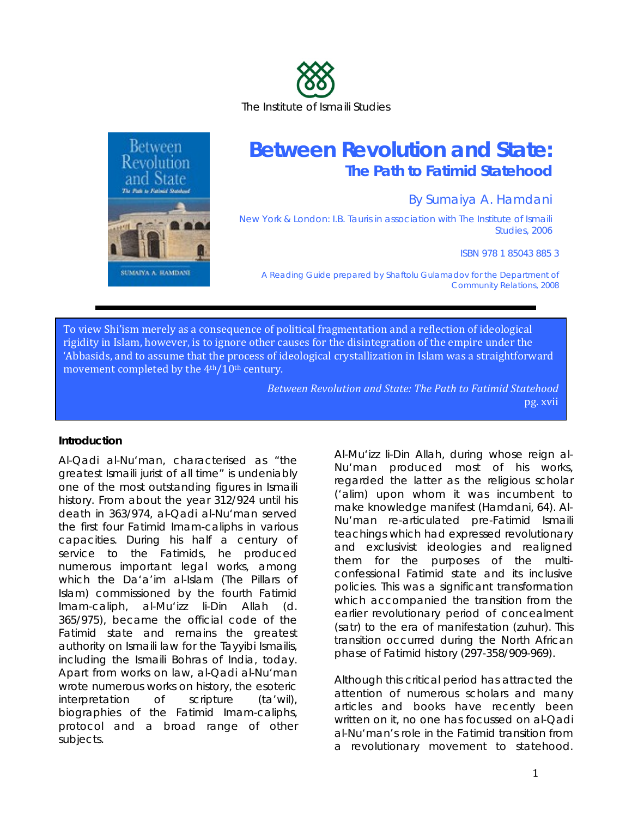



# **Between Revolution and State: The Path to Fatimid Statehood**

By Sumaiya A. Hamdani

New York & London: I.B. Tauris in association with The Institute of Ismaili Studies, 2006

ISBN 978 1 85043 885 3

*A Reading Guide prepared by Shaftolu Gulamadov for the Department of Community Relations, 2008* 

To view Shi'ism merely as a consequence of political fragmentation and a reflection of ideological rigidity in Islam, however, is to ignore other causes for the disintegration of the empire under the 'Abbasids, and to assume that the process of ideological crystallization in Islam was a straightforward movement completed by the 4<sup>th</sup>/10<sup>th</sup> century.

> *Between Revolution and State: The Path to Fatimid Statehood* pg. xvii

#### **Introduction**

Al-Qadi al-Nu'man, characterised as "the greatest Ismaili jurist of all time" is undeniably one of the most outstanding figures in Ismaili history. From about the year 312/924 until his death in 363/974, al-Qadi al-Nu'man served the first four Fatimid Imam-caliphs in various capacities. During his half a century of service to the Fatimids, he produced numerous important legal works, among which the *Da'a'im al-Islam* (*The Pillars of Islam*) commissioned by the fourth Fatimid Imam-caliph, al-Mu'izz li-Din Allah (d. 365/975), became the official code of the Fatimid state and remains the greatest authority on Ismaili law for the Tayyibi Ismailis, including the Ismaili Bohras of India, today. Apart from works on law, al-Qadi al-Nu'man wrote numerous works on history, the esoteric interpretation of scripture (*ta'wil*), biographies of the Fatimid Imam-caliphs, protocol and a broad range of other subjects.

Al-Mu'izz li-Din Allah, during whose reign al-Nu'man produced most of his works, regarded the latter as the religious scholar (*'alim*) upon whom it was incumbent to make knowledge manifest (Hamdani, 64). Al-Nu'man re-articulated pre-Fatimid Ismaili teachings which had expressed revolutionary and exclusivist ideologies and realigned them for the purposes of the multiconfessional Fatimid state and its inclusive policies. This was a significant transformation which accompanied the transition from the earlier revolutionary period of concealment (*satr*) to the era of manifestation (*zuhur*). This transition occurred during the North African phase of Fatimid history (297-358/909-969).

Although this critical period has attracted the attention of numerous scholars and many articles and books have recently been written on it, no one has focussed on al-Qadi al-Nu'man's role in the Fatimid transition from a revolutionary movement to statehood.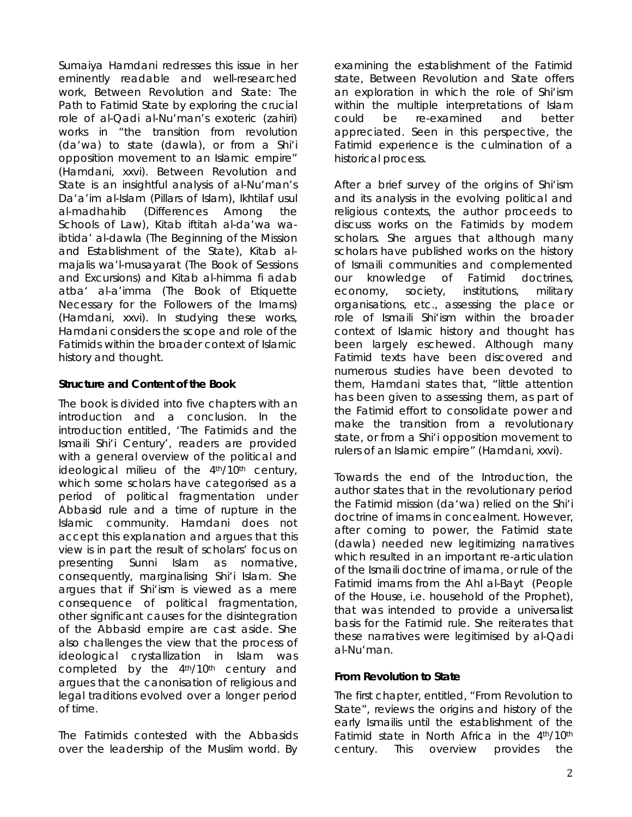Sumaiya Hamdani redresses this issue in her eminently readable and well-researched work, *Between Revolution and State: The Path to Fatimid State* by exploring the crucial role of al-Qadi al-Nu'man's exoteric (*zahiri*) works in "the transition from revolution (*da'wa*) to state (*dawla*), or from a Shi'i opposition movement to an Islamic empire" (Hamdani, xxvi). *Between Revolution and State* is an insightful analysis of al-Nu'man's *Da'a'im al-Islam* (Pillars of Islam), *Ikhtilaf usul al-madhahib* (Differences Among the Schools of Law), *Kitab iftitah al-da'wa waibtida' al-dawla* (The Beginning of the Mission and Establishment of the State), *Kitab almajalis wa'l-musayarat* (The Book of Sessions and Excursions) and *Kitab al-himma fi adab atba' al-a'imma* (The Book of Etiquette Necessary for the Followers of the Imams) (Hamdani, xxvi). In studying these works, Hamdani considers the scope and role of the Fatimids within the broader context of Islamic history and thought.

#### **Structure and Content of the Book**

The book is divided into five chapters with an introduction and a conclusion. In the introduction entitled, 'The Fatimids and the Ismaili Shi'i Century', readers are provided with a general overview of the political and ideological milieu of the 4<sup>th</sup>/10<sup>th</sup> century, which some scholars have categorised as a period of political fragmentation under Abbasid rule and a time of rupture in the Islamic community. Hamdani does not accept this explanation and argues that this view is in part the result of scholars' focus on presenting Sunni Islam as normative, consequently, marginalising Shi'i Islam. She argues that if Shi'ism is viewed as a mere consequence of political fragmentation, other significant causes for the disintegration of the Abbasid empire are cast aside. She also challenges the view that the process of ideological crystallization in Islam was completed by the 4<sup>th</sup>/10<sup>th</sup> century and argues that the canonisation of religious and legal traditions evolved over a longer period of time.

The Fatimids contested with the Abbasids over the leadership of the Muslim world. By examining the establishment of the Fatimid state, *Between Revolution and State* offers an exploration in which the role of Shi'ism within the multiple interpretations of Islam could be re-examined and better appreciated. Seen in this perspective, the Fatimid experience is the culmination of a historical process.

After a brief survey of the origins of Shi'ism and its analysis in the evolving political and religious contexts, the author proceeds to discuss works on the Fatimids by modern scholars. She argues that although many scholars have published works on the history of Ismaili communities and complemented our knowledge of Fatimid doctrines, economy, society, institutions, military organisations, etc., assessing the place or role of Ismaili Shi'ism within the broader context of Islamic history and thought has been largely eschewed. Although many Fatimid texts have been discovered and numerous studies have been devoted to them, Hamdani states that, "little attention has been given to assessing them, as part of the Fatimid effort to consolidate power and make the transition from a revolutionary state, or from a Shi'i opposition movement to rulers of an Islamic empire" (Hamdani, xxvi).

Towards the end of the Introduction, the author states that in the revolutionary period the Fatimid mission (*da'wa*) relied on the Shi'i doctrine of imams in concealment. However, after coming to power, the Fatimid state (*dawla*) needed new legitimizing narratives which resulted in an important re-articulation of the Ismaili doctrine of *imama*, or rule of the Fatimid imams from the *Ahl al-Bayt* (People of the House, i.e. household of the Prophet)*,*  that was intended to provide a universalist basis for the Fatimid rule. She reiterates that these narratives were legitimised by al-Qadi al-Nu'man.

## *From Revolution to State*

The first chapter, entitled, "From Revolution to State"*,* reviews the origins and history of the early Ismailis until the establishment of the Fatimid state in North Africa in the 4th/10th century. This overview provides the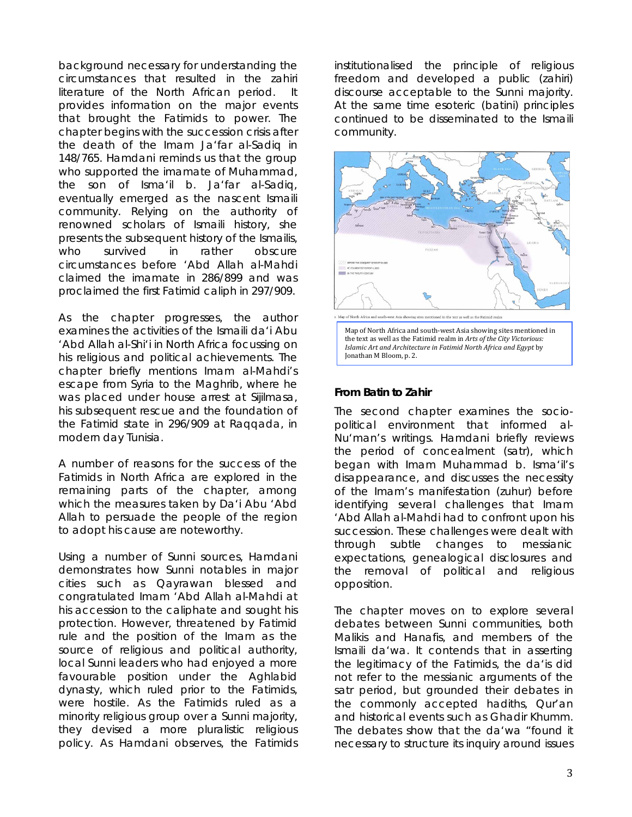background necessary for understanding the circumstances that resulted in the *zahiri* literature of the North African period. It provides information on the major events that brought the Fatimids to power. The chapter begins with the succession crisis after the death of the Imam Ja'far al-Sadiq in 148/765. Hamdani reminds us that the group who supported the imamate of Muhammad, the son of Isma'il b. Ja'far al-Sadiq, eventually emerged as the nascent Ismaili community. Relying on the authority of renowned scholars of Ismaili history, she presents the subsequent history of the Ismailis, who survived in rather obscure circumstances before 'Abd Allah al-Mahdi claimed the imamate in 286/899 and was proclaimed the first Fatimid caliph in 297/909.

As the chapter progresses, the author examines the activities of the Ismaili *da'i* Abu 'Abd Allah al-Shi'i in North Africa focussing on his religious and political achievements. The chapter briefly mentions Imam al-Mahdi's escape from Syria to the Maghrib, where he was placed under house arrest at Sijilmasa, his subsequent rescue and the foundation of the Fatimid state in 296/909 at Raqqada, in modern day Tunisia.

A number of reasons for the success of the Fatimids in North Africa are explored in the remaining parts of the chapter, among which the measures taken by Da'i Abu 'Abd Allah to persuade the people of the region to adopt his cause are noteworthy.

Using a number of Sunni sources, Hamdani demonstrates how Sunni notables in major cities such as Qayrawan blessed and congratulated Imam 'Abd Allah al-Mahdi at his accession to the caliphate and sought his protection. However, threatened by Fatimid rule and the position of the Imam as the source of religious and political authority, local Sunni leaders who had enjoyed a more favourable position under the Aghlabid dynasty, which ruled prior to the Fatimids, were hostile. As the Fatimids ruled as a minority religious group over a Sunni majority, they devised a more pluralistic religious policy. As Hamdani observes, the Fatimids

institutionalised the principle of religious freedom and developed a public (*zahiri*) discourse acceptable to the Sunni majority. At the same time esoteric (*batini*) principles continued to be disseminated to the Ismaili community.



#### **From Batin to Zahir**

The second chapter examines the sociopolitical environment that informed al-Nu'man's writings. Hamdani briefly reviews the period of concealment (*satr*), which began with Imam Muhammad b. Isma'il's disappearance, and discusses the necessity of the Imam's manifestation (*zuhur*) before identifying several challenges that Imam 'Abd Allah al-Mahdi had to confront upon his succession. These challenges were dealt with through subtle changes to messianic expectations, genealogical disclosures and the removal of political and religious opposition.

The chapter moves on to explore several debates between Sunni communities, both Malikis and Hanafis, and members of the Ismaili *da'wa*. It contends that in asserting the legitimacy of the Fatimids, the *da'is* did not refer to the messianic arguments of the *satr* period, but grounded their debates in the commonly accepted *hadiths,* Qur'an and historical events such as Ghadir Khumm. The debates show that the *da'wa* "found it necessary to structure its inquiry around issues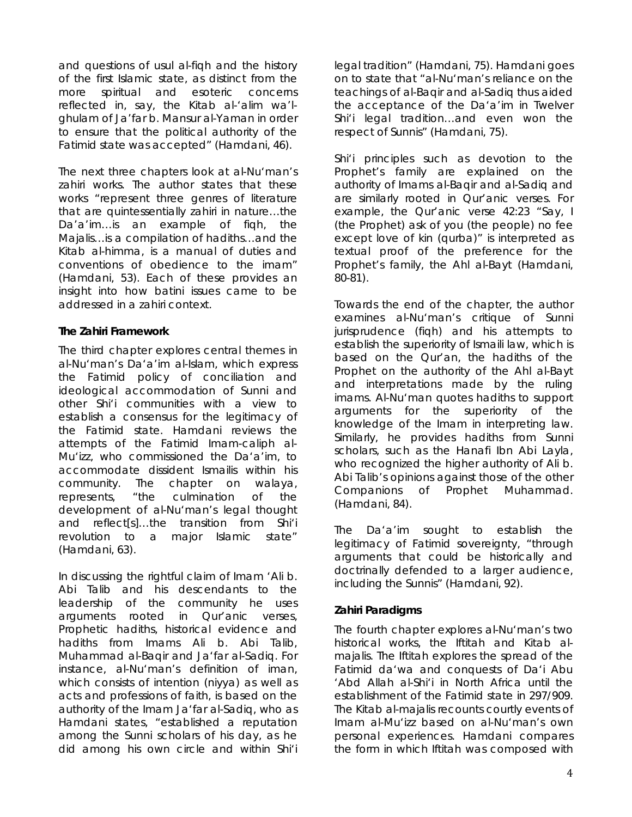and questions of *usul al-fiqh* and the history of the first Islamic state, as distinct from the more spiritual and esoteric concerns reflected in, say, the *Kitab al-'alim wa'lghulam* of Ja'far b. Mansur al-Yaman in order to ensure that the political authority of the Fatimid state was accepted" (Hamdani, 46).

The next three chapters look at al-Nu'man's *zahiri* works. The author states that these works "represent three genres of literature that are quintessentially *zahiri* in nature…the *Da'a'im…*is an example of *fiqh*, the *Majalis…*is a compilation of *hadiths…*and the *Kitab al-himma,* is a manual of duties and conventions of obedience to the imam" (Hamdani, 53). Each of these provides an insight into how *batini* issues came to be addressed in a *zahiri* context.

## **The** *Zahiri* **Framework**

The third chapter explores central themes in al-Nu'man's *Da'a'im al-Islam*, which express the Fatimid policy of conciliation and ideological accommodation of Sunni and other Shi'i communities with a view to establish a consensus for the legitimacy of the Fatimid state. Hamdani reviews the attempts of the Fatimid Imam-caliph al-Mu'izz, who commissioned the *Da'a'im,* to accommodate dissident Ismailis within his community*.* The chapter on *walaya*, represents, "the culmination of the development of al-Nu'man's legal thought and reflect[s]…the transition from Shi'i revolution to a major Islamic state" (Hamdani, 63).

In discussing the rightful claim of Imam 'Ali b. Abi Talib and his descendants to the leadership of the community he uses arguments rooted in Qur'anic verses, Prophetic *hadiths*, historical evidence and *hadiths* from Imams Ali b. Abi Talib, Muhammad al-Baqir and Ja'far al-Sadiq. For instance, al-Nu'man's definition of *iman*, which consists of intention (*niyya*) as well as acts and professions of faith, is based on the authority of the Imam Ja'far al-Sadiq, who as Hamdani states, "established a reputation among the Sunni scholars of his day, as he did among his own circle and within Shi'i legal tradition" (Hamdani, 75). Hamdani goes on to state that "al-Nu'man's reliance on the teachings of al-Baqir and al-Sadiq thus aided the acceptance of the *Da'a'im* in Twelver Shi'i legal tradition…and even won the respect of Sunnis" (Hamdani, 75).

Shi'i principles such as devotion to the Prophet's family are explained on the authority of Imams al-Baqir and al-Sadiq and are similarly rooted in Qur'anic verses. For example, the Qur'anic verse 42:23 "Say, I (the Prophet) ask of you (the people) no fee except love of kin (q*urba*)" is interpreted as textual proof of the preference for the Prophet's family, the *Ahl al-Bayt* (Hamdani, 80-81).

Towards the end of the chapter, the author examines al-Nu'man's critique of Sunni jurisprudence (*fiqh*) and his attempts to establish the superiority of Ismaili law, which is based on the Qur'an, the *hadiths* of the Prophet on the authority of the *Ahl al-Bayt*  and interpretations made by the ruling imams. Al-Nu'man quotes *hadiths* to support arguments for the superiority of the knowledge of the Imam in interpreting law. Similarly, he provides *hadiths* from Sunni scholars, such as the Hanafi Ibn Abi Layla, who recognized the higher authority of Ali b. Abi Talib's opinions against those of the other Companions of Prophet Muhammad. (Hamdani, 84).

The *Da'a'im* sought to establish the legitimacy of Fatimid sovereignty, "through arguments that could be historically and doctrinally defended to a larger audience, including the Sunnis" (Hamdani, 92).

## *Zahiri* **Paradigms**

The fourth chapter explores al-Nu'man's two historical works, the *Iftitah* and *Kitab almajalis.* The *Iftitah* explores the spread of the Fatimid *da'wa* and conquests of *Da'i* Abu 'Abd Allah al-Shi'i in North Africa until the establishment of the Fatimid state in 297/909. The *Kitab al-majalis* recounts courtly events of Imam al-Mu'izz based on al-Nu'man's own personal experiences. Hamdani compares the form in which *Iftitah* was composed with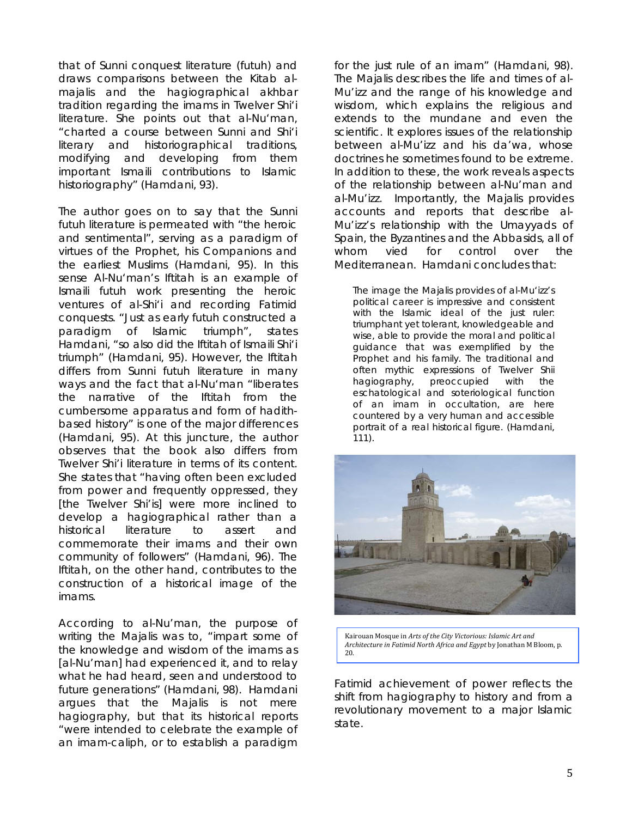that of Sunni conquest literature (*futuh)* and draws comparisons between the *Kitab almajalis* and the hagiographical *akhbar*  tradition regarding the imams in Twelver Shi'i literature. She points out that al-Nu'man, "charted a course between Sunni and Shi'i literary and historiographical traditions, modifying and developing from them important Ismaili contributions to Islamic historiography" (Hamdani, 93).

The author goes on to say that the Sunni *futuh* literature is permeated with "the heroic and sentimental", serving as a paradigm of virtues of the Prophet, his Companions and the earliest Muslims (Hamdani, 95). In this sense Al-Nu'man's *Iftitah* is an example of Ismaili *futuh* work presenting the heroic ventures of al-Shi'i and recording Fatimid conquests. "Just as early *futuh* constructed a paradigm of Islamic triumph", states Hamdani, "so also did the *Iftitah* of Ismaili Shi'i triumph" (Hamdani, 95). However, the *Iftitah*  differs from Sunni *futuh* literature in many ways and the fact that al-Nu'man "liberates the narrative of the *Iftitah* from the cumbersome apparatus and form of *hadith*based history" is one of the major differences (Hamdani, 95). At this juncture, the author observes that the book also differs from Twelver Shi'i literature in terms of its content. She states that "having often been excluded from power and frequently oppressed, they [the Twelver Shi'is] were more inclined to develop a hagiographical rather than a historical literature to assert and commemorate their imams and their own community of followers" (Hamdani, 96). The *Iftitah*, on the other hand, contributes to the construction of a historical image of the imams.

According to al-Nu'man, the purpose of writing the *Majalis* was to, "impart some of the knowledge and wisdom of the imams as [al-Nu'man] had experienced it, and to relay what he had heard, seen and understood to future generations" (Hamdani, 98). Hamdani argues that the *Majalis* is not mere hagiography, but that its historical reports "were intended to celebrate the example of an imam-caliph, or to establish a paradigm

for the just rule of an imam" (Hamdani, 98). The *Majalis* describes the life and times of al-Mu'izz and the range of his knowledge and wisdom, which explains the religious and extends to the mundane and even the scientific. It explores issues of the relationship between al-Mu'izz and his *da'wa*, whose doctrines he sometimes found to be extreme. In addition to these, the work reveals aspects of the relationship between al-Nu'man and al-Mu'izz. Importantly, the *Majalis* provides accounts and reports that describe al-Mu'izz's relationship with the Umayyads of Spain, the Byzantines and the Abbasids, all of whom vied for control over the Mediterranean. Hamdani concludes that:

The image the *Majalis* provides of al-Mu'izz's political career is impressive and consistent with the Islamic ideal of the just ruler: triumphant yet tolerant, knowledgeable and wise, able to provide the moral and political guidance that was exemplified by the Prophet and his family. The traditional and often mythic expressions of Twelver Shii hagiography, preoccupied with the eschatological and soteriological function of an imam in occultation, are here countered by a very human and accessible portrait of a real historical figure. (Hamdani, 111).



Kairouan Mosque in *Arts of the City Victorious: Islamic Art and Architecture in Fatimid North Africa and Egypt* by Jonathan M Bloom, p. 20.

Fatimid achievement of power reflects the shift from hagiography to history and from a revolutionary movement to a major Islamic state.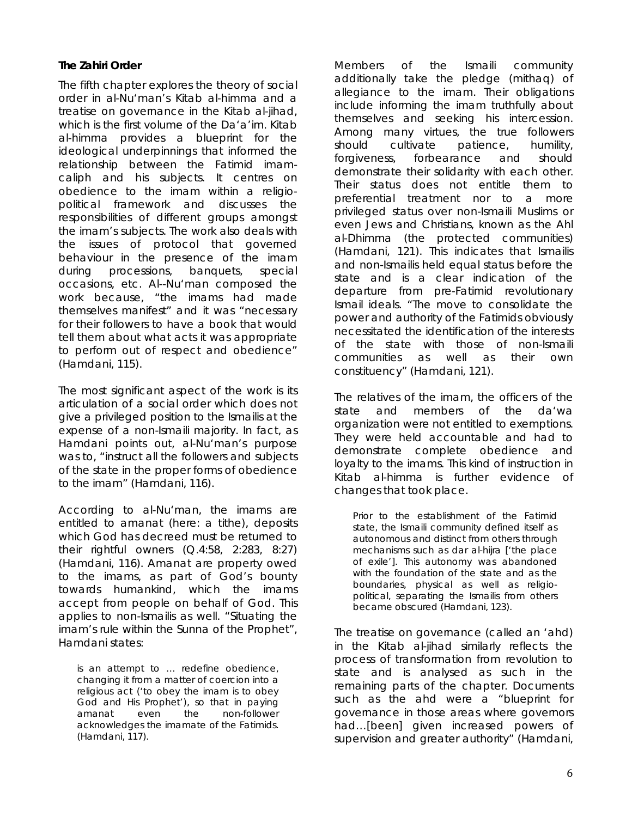## **The** *Zahiri* **Order**

The fifth chapter explores the theory of social order in al-Nu'man's *Kitab al-himma* and a treatise on governance in the *Kitab al-jihad,* which is the first volume of the *Da'a'im*. *Kitab al-himma* provides a blueprint for the ideological underpinnings that informed the relationship between the Fatimid imamcaliph and his subjects. It centres on obedience to the imam within a religiopolitical framework and discusses the responsibilities of different groups amongst the imam's subjects. The work also deals with the issues of protocol that governed behaviour in the presence of the imam during processions, banquets, special occasions, etc. Al--Nu'man composed the work because, "the imams had made themselves manifest" and it was "necessary for their followers to have a book that would tell them about what acts it was appropriate to perform out of respect and obedience" (Hamdani, 115).

The most significant aspect of the work is its articulation of a social order which does not give a privileged position to the Ismailis at the expense of a non-Ismaili majority. In fact, as Hamdani points out, al-Nu'man's purpose was to, "instruct all the followers and subjects of the state in the proper forms of obedience to the imam" (Hamdani, 116).

According to al-Nu'man, the imams are entitled to *amanat* (here: a tithe), deposits which God has decreed must be returned to their rightful owners (Q.4:58, 2:283, 8:27) (Hamdani, 116). *Amanat* are property owed to the imams, as part of God's bounty towards humankind, which the imams accept from people on behalf of God. This applies to non-Ismailis as well. "Situating the imam's rule within the *Sunna* of the Prophet", Hamdani states:

is an attempt to … redefine obedience, changing it from a matter of coercion into a religious act ('to obey the imam is to obey God and His Prophet'), so that in paying *amanat* even the non-follower acknowledges the imamate of the Fatimids. (Hamdani, 117).

Members of the Ismaili community additionally take the pledge (*mithaq*) of allegiance to the imam. Their obligations include informing the imam truthfully about themselves and seeking his intercession. Among many virtues, the true followers should cultivate patience, humility, forgiveness, forbearance and should demonstrate their solidarity with each other. Their status does not entitle them to preferential treatment nor to a more privileged status over non-Ismaili Muslims or even Jews and Christians, known as the *Ahl al-Dhimma* (the protected communities) (Hamdani, 121). This indicates that Ismailis and non-Ismailis held equal status before the state and is a clear indication of the departure from pre-Fatimid revolutionary Ismail ideals. "The move to consolidate the power and authority of the Fatimids obviously necessitated the identification of the interests of the state with those of non-Ismaili communities as well as their own constituency" (Hamdani, 121).

The relatives of the imam, the officers of the state and members of the *da'wa*  organization were not entitled to exemptions. They were held accountable and had to demonstrate complete obedience and loyalty to the imams. This kind of instruction in *Kitab al-himma* is further evidence of changes that took place.

Prior to the establishment of the Fatimid state, the Ismaili community defined itself as autonomous and distinct from others through mechanisms such as *dar al-hijra* ['the place of exile']. This autonomy was abandoned with the foundation of the state and as the boundaries, physical as well as religiopolitical, separating the Ismailis from others became obscured (Hamdani, 123).

The treatise on governance (called an *'ahd*) in the *Kitab al-jihad* similarly reflects the process of transformation from revolution to state and is analysed as such in the remaining parts of the chapter. Documents such as the *ahd* were a "blueprint for governance in those areas where governors had…[been] given increased powers of supervision and greater authority" (Hamdani,